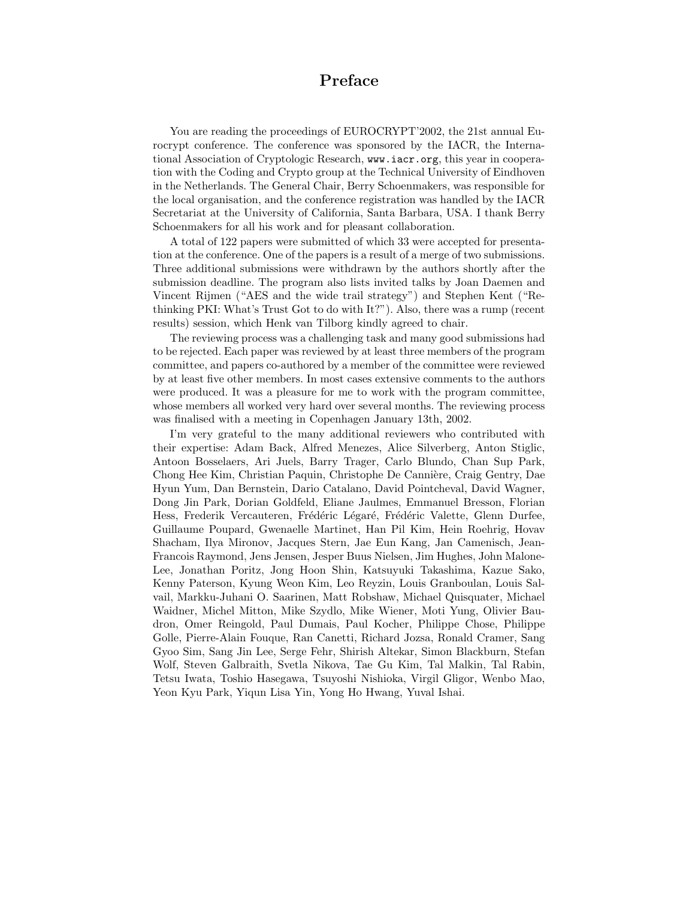## Preface

You are reading the proceedings of EUROCRYPT'2002, the 21st annual Eurocrypt conference. The conference was sponsored by the IACR, the International Association of Cryptologic Research, www.iacr.org, this year in cooperation with the Coding and Crypto group at the Technical University of Eindhoven in the Netherlands. The General Chair, Berry Schoenmakers, was responsible for the local organisation, and the conference registration was handled by the IACR Secretariat at the University of California, Santa Barbara, USA. I thank Berry Schoenmakers for all his work and for pleasant collaboration.

A total of 122 papers were submitted of which 33 were accepted for presentation at the conference. One of the papers is a result of a merge of two submissions. Three additional submissions were withdrawn by the authors shortly after the submission deadline. The program also lists invited talks by Joan Daemen and Vincent Rijmen ("AES and the wide trail strategy") and Stephen Kent ("Rethinking PKI: What's Trust Got to do with It?"). Also, there was a rump (recent results) session, which Henk van Tilborg kindly agreed to chair.

The reviewing process was a challenging task and many good submissions had to be rejected. Each paper was reviewed by at least three members of the program committee, and papers co-authored by a member of the committee were reviewed by at least five other members. In most cases extensive comments to the authors were produced. It was a pleasure for me to work with the program committee, whose members all worked very hard over several months. The reviewing process was finalised with a meeting in Copenhagen January 13th, 2002.

I'm very grateful to the many additional reviewers who contributed with their expertise: Adam Back, Alfred Menezes, Alice Silverberg, Anton Stiglic, Antoon Bosselaers, Ari Juels, Barry Trager, Carlo Blundo, Chan Sup Park, Chong Hee Kim, Christian Paquin, Christophe De Cannière, Craig Gentry, Dae Hyun Yum, Dan Bernstein, Dario Catalano, David Pointcheval, David Wagner, Dong Jin Park, Dorian Goldfeld, Eliane Jaulmes, Emmanuel Bresson, Florian Hess, Frederik Vercauteren, Frédéric Légaré, Frédéric Valette, Glenn Durfee, Guillaume Poupard, Gwenaelle Martinet, Han Pil Kim, Hein Roehrig, Hovav Shacham, Ilya Mironov, Jacques Stern, Jae Eun Kang, Jan Camenisch, Jean-Francois Raymond, Jens Jensen, Jesper Buus Nielsen, Jim Hughes, John Malone-Lee, Jonathan Poritz, Jong Hoon Shin, Katsuyuki Takashima, Kazue Sako, Kenny Paterson, Kyung Weon Kim, Leo Reyzin, Louis Granboulan, Louis Salvail, Markku-Juhani O. Saarinen, Matt Robshaw, Michael Quisquater, Michael Waidner, Michel Mitton, Mike Szydlo, Mike Wiener, Moti Yung, Olivier Baudron, Omer Reingold, Paul Dumais, Paul Kocher, Philippe Chose, Philippe Golle, Pierre-Alain Fouque, Ran Canetti, Richard Jozsa, Ronald Cramer, Sang Gyoo Sim, Sang Jin Lee, Serge Fehr, Shirish Altekar, Simon Blackburn, Stefan Wolf, Steven Galbraith, Svetla Nikova, Tae Gu Kim, Tal Malkin, Tal Rabin, Tetsu Iwata, Toshio Hasegawa, Tsuyoshi Nishioka, Virgil Gligor, Wenbo Mao, Yeon Kyu Park, Yiqun Lisa Yin, Yong Ho Hwang, Yuval Ishai.